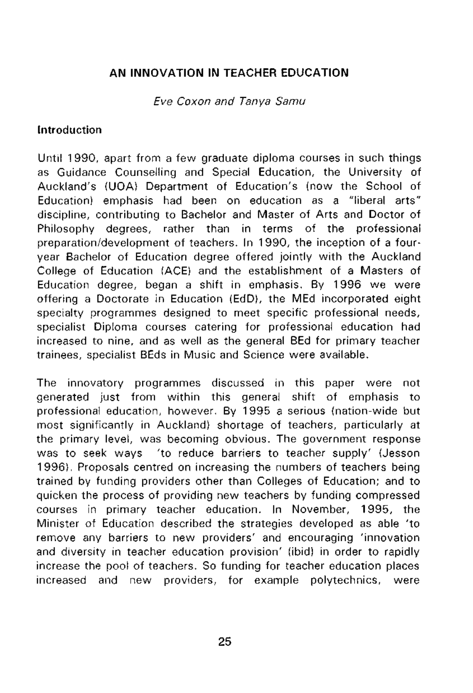# **AN INNOVATION IN TEACHER EDUCATION**

Eve Coxon and Tanya Samu

## **Introduction**

Until 1990, apart from a few graduate diploma courses in such things as Guidance Counselling and Special Education, the University of Auckland's (UOA) Department of Education's (now the School of Education) emphasis had been on education as a "liberal arts" discipline, contributing to Bachelor and Master of Arts and Doctor of Philosophy degrees, rather than in terms of the professional preparation/development of teachers. In 1990, the inception of a fouryear Bachelor of Education degree offered jointly with the Auckland College of Education (ACE) and the establishment of a Masters of Education degree, began a shift in emphasis. By 1996 we were offering a Doctorate in Education (EdD), the MEd incorporated eight specialty programmes designed to meet specific professional needs, specialist Diploma courses catering for professional education had increased to nine, and as well as the general BEd for primary teacher trainees, specialist BEds in Music and Science were available.

The innovatory programmes discussed in this paper were not generated just from within this general shift of emphasis to professional education, however. By 1995 a serious (nation-wide but most significantly in Auckland) shortage of teachers, particularly at the primary level, was becoming obvious. The government response was to seek ways 'to reduce barriers to teacher supply' (Jesson 1996). Proposals centred on increasing the numbers of teachers being trained by funding providers other than Colleges of Education; and to quicken the process of providing new teachers by funding compressed courses in primary teacher education. In November, 1995, the Minister of Education described the strategies developed as able 'to remove any barriers to new providers' and encouraging 'innovation and diversity in teacher education provision' (ibid) in order to rapidly increase the pool of teachers. So funding for teacher education places increased and new providers, for example polytechnics, were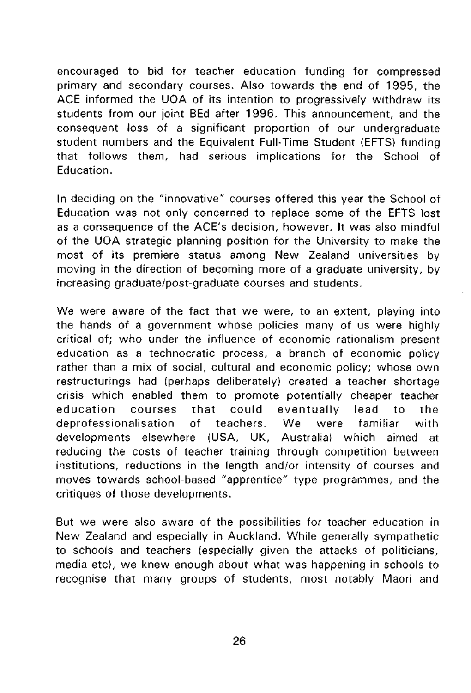encouraged to bid for teacher education funding for compressed primary and secondary courses. Also towards the end of 1995, the ACE informed the UOA of its intention to progressively withdraw its students from our joint BEd after 1996. This announcement, and the consequent loss of a significant proportion of our undergraduate student numbers and the Equivalent Full-Time Student (EFTS) funding that follows them, had serious implications for the School of Education.

In deciding on the "innovative" courses offered this year the School of Education was not only concerned to replace some of the EFTS lost as a consequence of the ACE's decision, however. It was also mindful of the UOA strategic planning position for the University to make the most of its premiere status among New Zealand universities by moving in the direction of becoming more of a graduate university, by increasing graduate/post-graduate courses and students.

We were aware of the fact that we were, to an extent, playing into the hands of a government whose policies many of us were highly critical of; who under the influence of economic rationalism present education as a technocratic process, a branch of economic policy rather than a mix of social, cultural and economic policy; whose own restructurings had (perhaps deliberately) created a teacher shortage crisis which enabled them to promote potentially cheaper teacher education courses that could eventually lead to the deprofessionalisation of teachers. We were familiar with developments elsewhere (USA, UK, Australia) which aimed at reducing the costs of teacher training through competition between institutions, reductions in the length and/or intensity of courses and moves towards school-based "apprentice" type programmes, and the critiques of those developments.

But we were also aware of the possibilities for teacher education in New Zealand and especially in Auckland. While generally sympathetic to schools and teachers (especially given the attacks of politicians, media etc), we knew enough about what was happening in schools to recognise that many groups of students, most notably Maori and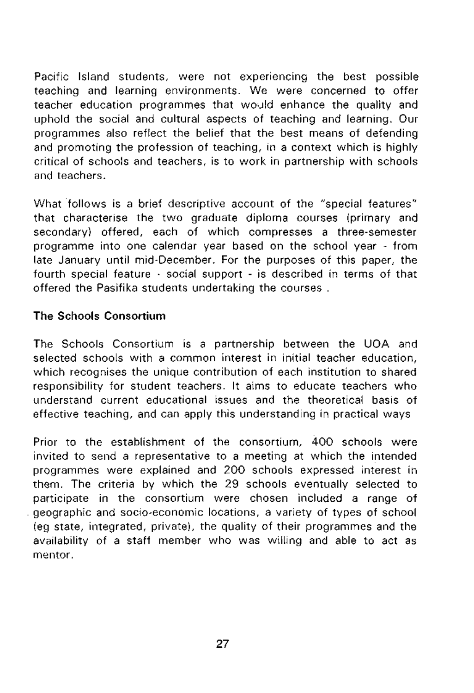Pacific Island students, were not experiencing the best possible teaching and learning environments. We were concerned to offer teacher education programmes that would enhance the quality and uphold the social and cultural aspects of teaching and learning. Our programmes also reflect the belief that the best means of defending and promoting the profession of teaching, in a context which is highly critical of schools and teachers, is to work in partnership with schools and teachers.

What follows is a brief descriptive account of the "special features" that characterise the two graduate diploma courses (primary and secondary) offered, each of which compresses a three-semester programme into one calendar year based on the school year - from late January until mid-December. For the purposes of this paper, the fourth special feature - social support - is described in terms of that offered the Pasifika students undertaking the courses .

# **The Schools Consortium**

The Schools Consortium is a partnership between the UOA and selected schools with a common interest in initial teacher education, which recognises the unique contribution of each institution to shared responsibility for student teachers. It aims to educate teachers who understand current educational issues and the theoretical basis of effective teaching, and can apply this understanding in practical ways

Prior to the establishment of the consortium, 400 schools were invited to send a representative to a meeting at which the intended programmes were explained and 200 schools expressed interest in them. The criteria by which the 29 schools eventually selected to participate in the consortium were chosen included a range of geographic and socio-economic locations, a variety of types of school {eg state, integrated, private), the quality of their programmes and the availability of a staff member who was willing and able to act as mentor.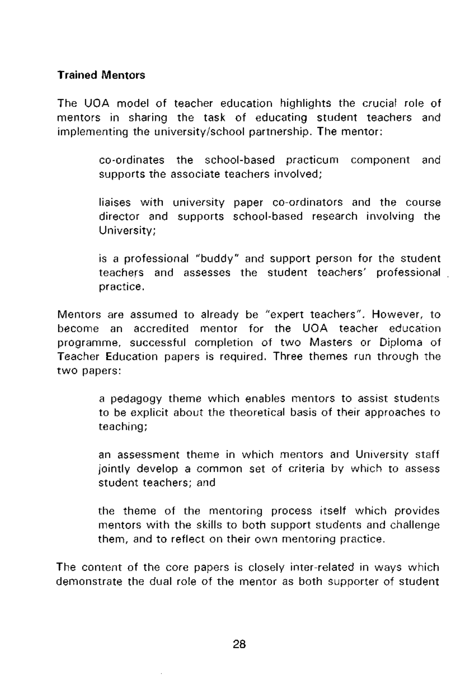## **Trained Mentors**

The UOA model of teacher education highlights the crucial role of mentors in sharing the task of educating student teachers and implementing the university/school partnership. The mentor:

> co-ordinates the school-based practicum component and supports the associate teachers involved;

> liaises with university paper co-ordinators and the course director and supports school-based research involving the University;

is a professional "buddy" and support person for the student teachers and assesses the student teachers' professional practice.

Mentors are assumed to already be "expert teachers". However, to become an accredited mentor for the UOA teacher education programme, successful completion of two Masters or Diploma of Teacher Education papers is required. Three themes run through the two papers:

> a pedagogy theme which enables mentors to assist students to be explicit about the theoretical basis of their approaches to teaching;

> an assessment theme in which mentors and University staff jointly develop a common set of criteria by which to assess student teachers; and

> the theme of the mentoring process itself which provides mentors with the skills to both support students and challenge them, and to reflect on their own mentoring practice.

The content of the core papers is closely inter-related in ways which demonstrate the dual role of the mentor as both supporter of student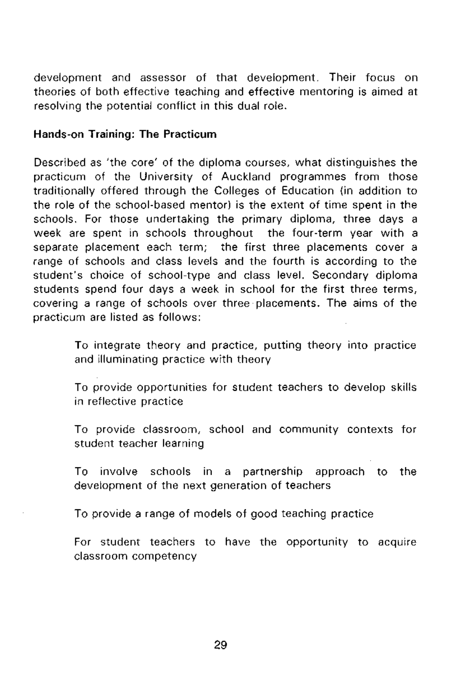development and assessor of that development. Their focus on theories of both effective teaching and effective mentoring is aimed at resolving the potential conflict in this dual role.

#### **Hands-on Training: The Practicum**

Described as 'the core' of the diploma courses, what distinguishes the practicum of the University of Auckland programmes from those traditionally offered through the Colleges of Education (in addition to the role of the school-based mentor) is the extent of time spent in the schools. For those undertaking the primary diploma, three days a week are spent in schools throughout the four-term year with a separate placement each term; the first three placements cover a range of schools and class levels and the fourth is according to the student's choice of school-type and class level. Secondary diploma students spend four days a week in school for the first three terms, covering a range of schools over three placements. The aims of the practicum are listed as follows:

> To integrate theory and practice, putting theory into practice and illuminating practice with theory

> To provide opportunities for student teachers to develop skills in reflective practice

> To provide classroom, school and community contexts for student teacher learning

> To involve schools in a partnership approach to the development of the next generation of teachers

To provide a range of models of good teaching practice

For student teachers to have the opportunity to acquire classroom competency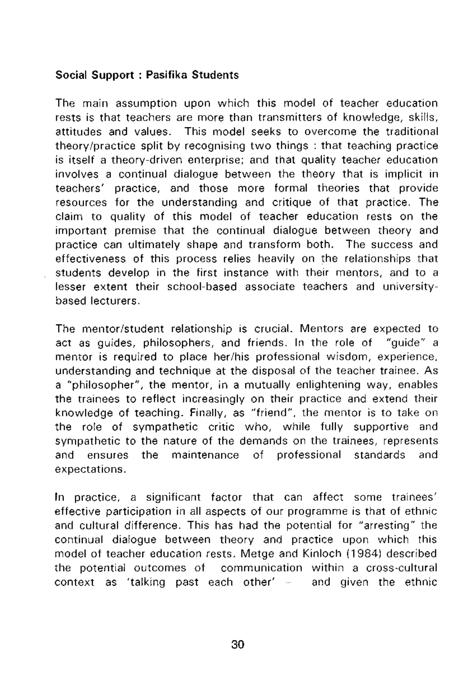## **Social Support : Pasifika Students**

The main assumption upon which this model of teacher education rests is that teachers are more than transmitters of knowledge, skills, attitudes and values. This model seeks to overcome the traditional theory/practice split by recognising two things : that teaching practice is itself a theory-driven enterprise; and that quality teacher education involves a continual dialogue between the theory that is implicit in teachers' practice, and those more formal theories that provide resources for the understanding and critique of that practice, The claim to quality of this model of teacher education rests on the important premise that the continual dialogue between theory and practice can ultimately shape and transform both. The success and effectiveness of this process relies heavily on the relationships that students develop in the first instance with their mentors, and to a lesser extent their school-based associate teachers and universitybased lecturers.

The mentor/student relationship is crucial. Mentors are expected to act as guides, philosophers, and friends. In the role of "guide" a mentor is required to place her/his professional wisdom, experience, understanding and technique at the disposal of the teacher trainee. As a "philosopher", the mentor, in a mutually enlightening way, enables the trainees to reflect increasingly on their practice and extend their knowledge of teaching. Finally, as "friend", the mentor is to take on the role of sympathetic critic who, while fully supportive and sympathetic to the nature of the demands on the trainees, represents and ensures the maintenance of professional standards and expectations.

In practice, a significant factor that can affect some trainees' effective participation in all aspects of our programme is that of ethnic and cultural difference. This has had the potential for "arresting" the continual dialogue between theory and practice upon which this model of teacher education rests. Metge and Kinloch (1984) described the potential outcomes of communication within a cross-cultural context as 'talking past each other' - and given the ethnic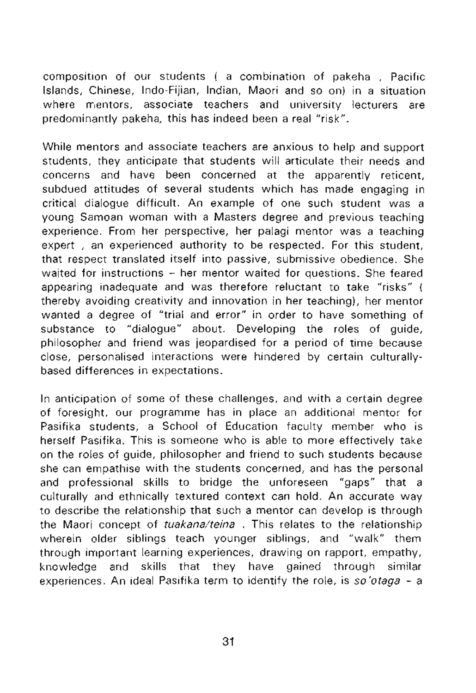composition of our students ( a combination of pakeha , Pacific Islands, Chinese, Indo-Fijian, Indian, Maori and so on) in a situation where mentors, associate teachers and university lecturers are predominantly pakeha, this has indeed been a real "risk".

While mentors and associate teachers are anxious to help and support students, they anticipate that students will articulate their needs and concerns and have been concerned at the apparently reticent, subdued attitudes of several students which has made engaging in critical dialogue difficult. An example of one such student was a young Samoan woman with a Masters degree and previous teaching experience. From her perspective, her palagi mentor was a teaching expert, an experienced authority to be respected. For this student, that respect translated itself into passive, submissive obedience. She waited for instructions - her mentor waited for questions. She feared appearing inadequate and was therefore reluctant to take "risks" ( thereby avoiding creativity and innovation in her teaching), her mentor wanted a degree of "trial and error" in order to have something of substance to "dialogue" about. Developing the roles of guide, philosopher and friend was jeopardised for a period of time because close, personalised interactions were hindered by certain culturallybased differences in expectations.

In anticipation of some of these challenges, and with a certain degree of foresight, our programme has in place an additional mentor for Pasifika students, a School of Education faculty member who is herself Pasifika. This is someone who is able to more effectively take on the roles of guide, philosopher and friend to such students because she can empathise with the students concerned, and has the personal and professional skills to bridge the unforeseen "gaps" that a culturally and ethnically textured context can hold. An accurate way to describe the relationship that such a mentor can develop is through the Maori concept of *tuakana/teina*. This relates to the relationship wherein older siblings teach younger siblings, and "walk" them through important learning experiences, drawing on rapport, empathy, knowledge and skills that they have gained through similar experiences. An ideal Pasifika term to identify the role, is so'otaga - a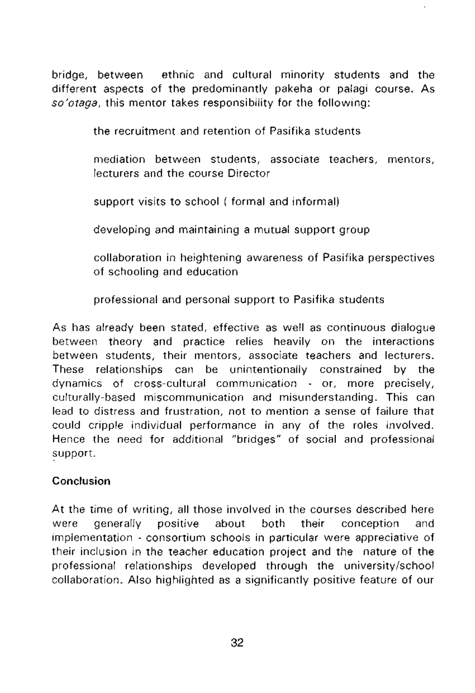bridge, between ethnic and cultural minority students and the different aspects of the predominantly pakeha or palagi course. As so'otaga, this mentor takes responsibility for the following:

the recruitment and retention of Pasifika students

mediation between students, associate teachers, mentors, lecturers and the course Director

support visits to school ( formal and informal)

developing and maintaining a mutual support group

collaboration in heightening awareness of Pasifika perspectives of schooling and education

professional and personal support to Pasifika students

As has already been stated, effective as well as continuous dialogue between theory and practice relies heavily on the interactions between students, their mentors, associate teachers and lecturers. These relationships can be unintentionally constrained by the dynamics of cross-cultural communication - or, more precisely, culturally-based miscommunication and misunderstanding. This can lead to distress and frustration, not to mention a sense of failure that could cripple individual performance in any of the roles involved. Hence the need for additional "bridges" of social and professional support.

# **Conclusion**

At the time of writing, all those involved in the courses described here were generally positive about both their conception and implementation - consortium schools in particular were appreciative of their inclusion in the teacher education project and the nature of the professional relationships developed through the university/school collaboration. Also highlighted as a significantly positive feature of our